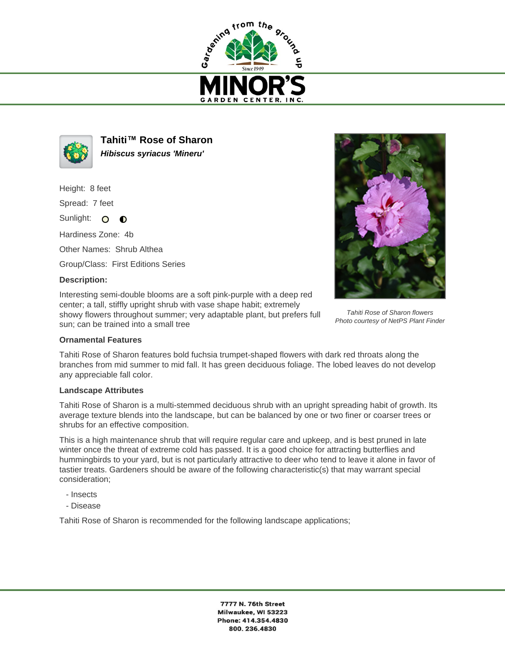



**Tahiti™ Rose of Sharon Hibiscus syriacus 'Mineru'**

Height: 8 feet

Spread: 7 feet

Sunlight: O  $\bullet$ 

Hardiness Zone: 4b

Other Names: Shrub Althea

Group/Class: First Editions Series

## **Description:**

Interesting semi-double blooms are a soft pink-purple with a deep red center; a tall, stiffly upright shrub with vase shape habit; extremely showy flowers throughout summer; very adaptable plant, but prefers full sun; can be trained into a small tree



Tahiti Rose of Sharon flowers Photo courtesy of NetPS Plant Finder

## **Ornamental Features**

Tahiti Rose of Sharon features bold fuchsia trumpet-shaped flowers with dark red throats along the branches from mid summer to mid fall. It has green deciduous foliage. The lobed leaves do not develop any appreciable fall color.

## **Landscape Attributes**

Tahiti Rose of Sharon is a multi-stemmed deciduous shrub with an upright spreading habit of growth. Its average texture blends into the landscape, but can be balanced by one or two finer or coarser trees or shrubs for an effective composition.

This is a high maintenance shrub that will require regular care and upkeep, and is best pruned in late winter once the threat of extreme cold has passed. It is a good choice for attracting butterflies and hummingbirds to your yard, but is not particularly attractive to deer who tend to leave it alone in favor of tastier treats. Gardeners should be aware of the following characteristic(s) that may warrant special consideration;

- Insects
- Disease

Tahiti Rose of Sharon is recommended for the following landscape applications;

7777 N. 76th Street Milwaukee, WI 53223 Phone: 414.354.4830 800.236.4830